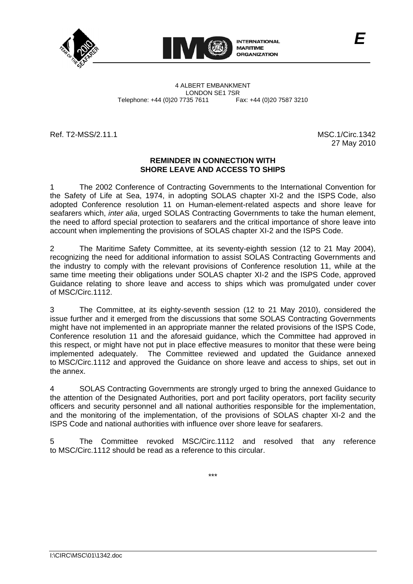



*E*

4 ALBERT EMBANKMENT LONDON SE1 7SR Telephone: +44 (0)20 7735 7611 Fax: +44 (0)20 7587 3210

Ref. T2-MSS/2.11.1 MSC.1/Circ.1342

27 May 2010

## **REMINDER IN CONNECTION WITH SHORE LEAVE AND ACCESS TO SHIPS**

1 The 2002 Conference of Contracting Governments to the International Convention for the Safety of Life at Sea, 1974, in adopting SOLAS chapter XI-2 and the ISPS Code, also adopted Conference resolution 11 on Human-element-related aspects and shore leave for seafarers which, *inter alia*, urged SOLAS Contracting Governments to take the human element, the need to afford special protection to seafarers and the critical importance of shore leave into account when implementing the provisions of SOLAS chapter XI-2 and the ISPS Code.

2 The Maritime Safety Committee, at its seventy-eighth session (12 to 21 May 2004), recognizing the need for additional information to assist SOLAS Contracting Governments and the industry to comply with the relevant provisions of Conference resolution 11, while at the same time meeting their obligations under SOLAS chapter XI-2 and the ISPS Code, approved Guidance relating to shore leave and access to ships which was promulgated under cover of MSC/Circ.1112.

3 The Committee, at its eighty-seventh session (12 to 21 May 2010), considered the issue further and it emerged from the discussions that some SOLAS Contracting Governments might have not implemented in an appropriate manner the related provisions of the ISPS Code, Conference resolution 11 and the aforesaid guidance, which the Committee had approved in this respect, or might have not put in place effective measures to monitor that these were being implemented adequately. The Committee reviewed and updated the Guidance annexed to MSC/Circ.1112 and approved the Guidance on shore leave and access to ships, set out in the annex.

4 SOLAS Contracting Governments are strongly urged to bring the annexed Guidance to the attention of the Designated Authorities, port and port facility operators, port facility security officers and security personnel and all national authorities responsible for the implementation, and the monitoring of the implementation, of the provisions of SOLAS chapter XI-2 and the ISPS Code and national authorities with influence over shore leave for seafarers.

5 The Committee revoked MSC/Circ.1112 and resolved that any reference to MSC/Circ.1112 should be read as a reference to this circular.

\*\*\*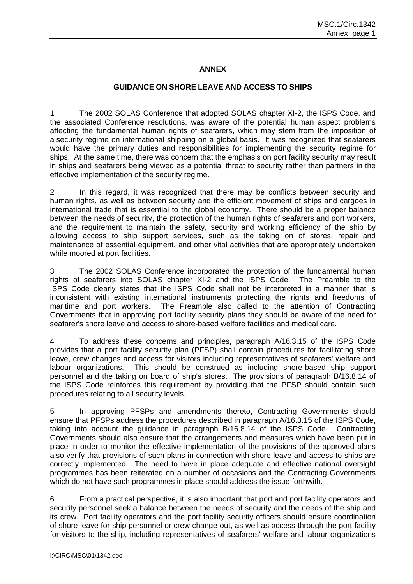## **ANNEX**

## **GUIDANCE ON SHORE LEAVE AND ACCESS TO SHIPS**

1 The 2002 SOLAS Conference that adopted SOLAS chapter XI-2, the ISPS Code, and the associated Conference resolutions, was aware of the potential human aspect problems affecting the fundamental human rights of seafarers, which may stem from the imposition of a security regime on international shipping on a global basis. It was recognized that seafarers would have the primary duties and responsibilities for implementing the security regime for ships. At the same time, there was concern that the emphasis on port facility security may result in ships and seafarers being viewed as a potential threat to security rather than partners in the effective implementation of the security regime.

2 In this regard, it was recognized that there may be conflicts between security and human rights, as well as between security and the efficient movement of ships and cargoes in international trade that is essential to the global economy. There should be a proper balance between the needs of security, the protection of the human rights of seafarers and port workers, and the requirement to maintain the safety, security and working efficiency of the ship by allowing access to ship support services, such as the taking on of stores, repair and maintenance of essential equipment, and other vital activities that are appropriately undertaken while moored at port facilities.

3 The 2002 SOLAS Conference incorporated the protection of the fundamental human rights of seafarers into SOLAS chapter XI-2 and the ISPS Code. The Preamble to the ISPS Code clearly states that the ISPS Code shall not be interpreted in a manner that is inconsistent with existing international instruments protecting the rights and freedoms of maritime and port workers. The Preamble also called to the attention of Contracting Governments that in approving port facility security plans they should be aware of the need for seafarer's shore leave and access to shore-based welfare facilities and medical care.

4 To address these concerns and principles, paragraph A/16.3.15 of the ISPS Code provides that a port facility security plan (PFSP) shall contain procedures for facilitating shore leave, crew changes and access for visitors including representatives of seafarers' welfare and labour organizations. This should be construed as including shore-based ship support personnel and the taking on board of ship's stores. The provisions of paragraph B/16.8.14 of the ISPS Code reinforces this requirement by providing that the PFSP should contain such procedures relating to all security levels.

5 In approving PFSPs and amendments thereto, Contracting Governments should ensure that PFSPs address the procedures described in paragraph A/16.3.15 of the ISPS Code, taking into account the guidance in paragraph B/16.8.14 of the ISPS Code. Contracting Governments should also ensure that the arrangements and measures which have been put in place in order to monitor the effective implementation of the provisions of the approved plans also verify that provisions of such plans in connection with shore leave and access to ships are correctly implemented. The need to have in place adequate and effective national oversight programmes has been reiterated on a number of occasions and the Contracting Governments which do not have such programmes in place should address the issue forthwith.

6 From a practical perspective, it is also important that port and port facility operators and security personnel seek a balance between the needs of security and the needs of the ship and its crew. Port facility operators and the port facility security officers should ensure coordination of shore leave for ship personnel or crew change-out, as well as access through the port facility for visitors to the ship, including representatives of seafarers' welfare and labour organizations